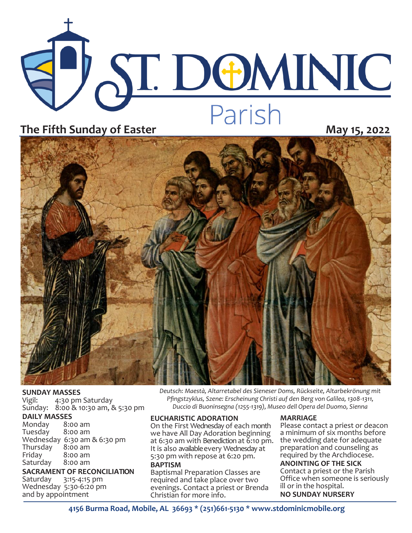



**SUNDAY MASSES**<br>Vigil: 4:30 pm 4:30 pm Saturday Sunday: 8:00 & 10:30 am, & 5:30 pm

#### **DAILY MASSES**

Monday 8:00 am Tuesday Wednesday 6:30 am & 6:30 pm Thursday<br>Friday  $8:00$  am<br> $8:00$  am Saturday

**SACRAMENT OF RECONCILIATION** Saturday 3:15-4:15 pm Wednesday 5:30-6:20 pm

and by appointment

**EUCHARISTIC ADORATION MARRIAGE** *Pfingstzyklus, Szene: Erscheinung Christi auf den Berg von Galilea, 1308-1311, Duccio di Buoninsegna (1255-1319), Museo dell Opera del Duomo, Sienna* 

*Deutsch: Maestà, Altarretabel des Sieneser Doms, Rückseite, Altarbekrönung mit* 

On the First Wednesday of each month we have All Day Adoration beginning at 6:30 am with Benediction at 6:10 pm. It is also available every Wednesday at 5:30 pm with repose at 6:20 pm. **BAPTISM**

Baptismal Preparation Classes are required and take place over two evenings. Contact a priest or Brenda Christian for more info.

Please contact a priest or deacon a minimum of six months before the wedding date for adequate preparation and counseling as required by the Archdiocese.

#### **ANOINTING OF THE SICK** Contact a priest or the Parish

Office when someone is seriously ill or in the hospital. **NO SUNDAY NURSERY**

**4156 Burma Road, Mobile, AL 36693 \* (251)661-5130 \* www.stdominicmobile.org**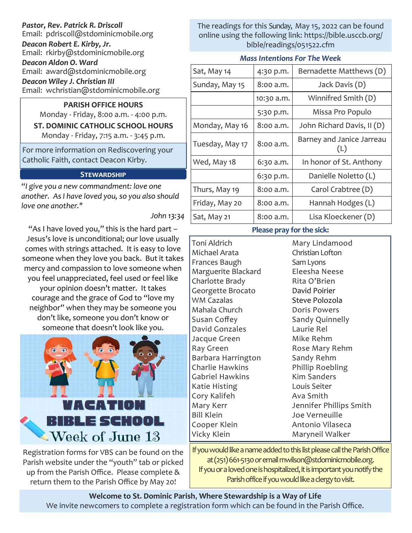## *Pastor, Rev. Patrick R. Driscoll* Email: pdriscoll@stdominicmobile.org *Deacon Robert E. Kirby, Jr.* Email: rkirby@stdominicmobile.org *Deacon Aldon O. Ward*

Email: award@stdominicmobile.org *Deacon Wiley J. Christian III*

Email: wchristian@stdominicmobile.org

## **PARISH OFFICE HOURS**

Monday - Friday, 8:00 a.m. - 4:00 p.m. **ST. DOMINIC CATHOLIC SCHOOL HOURS**  Monday - Friday, 7:15 a.m. - 3:45 p.m.

For more information on Rediscovering your Catholic Faith, contact Deacon Kirby.

# **Stewardship**

*"I give you a new commandment: love one another. As I have loved you, so you also should love one another."*

*John 13:34*

"As I have loved you," this is the hard part – Jesus's love is unconditional; our love usually comes with strings attached. It is easy to love someone when they love you back. But it takes mercy and compassion to love someone when you feel unappreciated, feel used or feel like your opinion doesn't matter. It takes courage and the grace of God to "love my neighbor" when they may be someone you don't like, someone you don't know or someone that doesn't look like you.



Registration forms for VBS can be found on the Parish website under the "youth" tab or picked up from the Parish Office. Please complete & return them to the Parish Office by May 20!

The readings for this Sunday, May 15, 2022 can be found online using the following link: https://bible.usccb.org/ bible/readings/051522.cfm

#### *Mass Intentions For The Week*

| Sat, May 14     | 4:30 p.m.   | Bernadette Matthews (D)          |
|-----------------|-------------|----------------------------------|
| Sunday, May 15  | 8:00 a.m.   | Jack Davis (D)                   |
|                 | 10:30 a.m.  | Winnifred Smith (D)              |
|                 | 5:30 p.m.   | Missa Pro Populo                 |
| Monday, May 16  | 8:00 a.m.   | John Richard Davis, II (D)       |
| Tuesday, May 17 | $8:00$ a.m. | Barney and Janice Jarreau<br>(L) |
| Wed, May 18     | 6:30 a.m.   | In honor of St. Anthony          |
|                 | 6:30 p.m.   | Danielle Noletto (L)             |
| Thurs, May 19   | 8:00 a.m.   | Carol Crabtree (D)               |
| Friday, May 20  | 8:00 a.m.   | Hannah Hodges (L)                |
| Sat, May 21     | 8:00 a.m.   | Lisa Kloeckener (D)              |

### **Please pray for the sick:**

Toni Aldrich Michael Arata Frances Baugh Marguerite Blackard Charlotte Brady Georgette Brocato WM Cazalas Mahala Church Susan Coffey David Gonzales Jacque Green Ray Green Barbara Harrington Charlie Hawkins Gabriel Hawkins Katie Histing Cory Kalifeh Mary Kerr Bill Klein Cooper Klein Vicky Klein

Mary Lindamood Christian Lofton Sam Lyons Eleesha Neese Rita O'Brien David Poirier Steve Polozola Doris Powers Sandy Quinnelly Laurie Rel Mike Rehm Rose Mary Rehm Sandy Rehm Phillip Roebling Kim Sanders Louis Seiter Ava Smith Jennifer Phillips Smith Joe Verneuille Antonio Vilaseca Maryneil Walker

If you would like a name added to this list please call the Parish Office at (251) 661-5130 or email mwilson@stdominicmobile.org. If you or a loved one is hospitalized, it is important you notify the Parish office if you would like a clergy to visit.